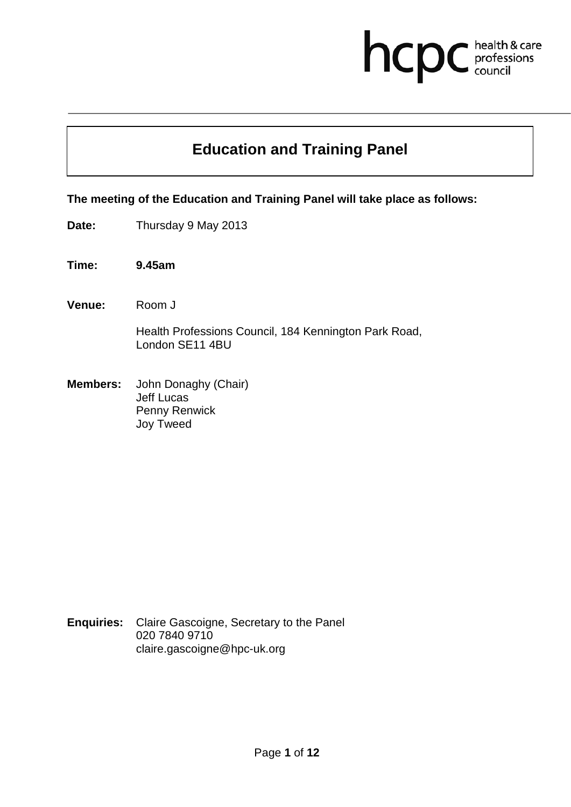# hcpc health & care<br>professions<br>council

# **Education and Training Panel**

**The meeting of the Education and Training Panel will take place as follows:**

- **Date:** Thursday 9 May 2013
- **Time: 9.45am**
- **Venue:** Room J

Health Professions Council, 184 Kennington Park Road, London SE11 4BU

**Members:** John Donaghy (Chair) Jeff Lucas Penny Renwick Joy Tweed

**Enquiries:** Claire Gascoigne, Secretary to the Panel 020 7840 9710 claire.gascoigne@hpc-uk.org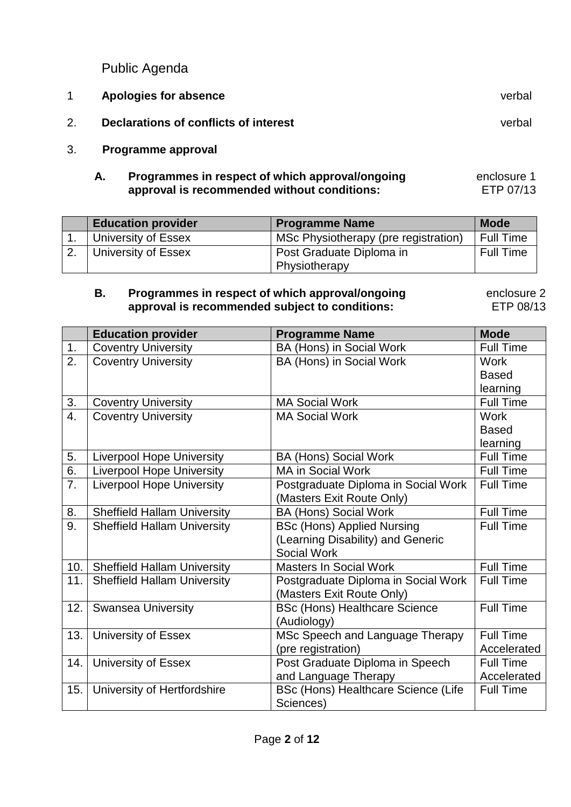Public Agenda

|    | Apologies for absence                 | verbal |
|----|---------------------------------------|--------|
| 2. | Declarations of conflicts of interest | verbal |

3. **Programme approval**

#### **A. Programmes in respect of which approval/ongoing approval is recommended without conditions:** enclosure 1 ETP 07/13

| <b>Education provider</b> | <b>Programme Name</b>                | <b>Mode</b>      |
|---------------------------|--------------------------------------|------------------|
| University of Essex       | MSc Physiotherapy (pre registration) | Full Time        |
| University of Essex       | Post Graduate Diploma in             | <b>Full Time</b> |
|                           | Physiotherapy                        |                  |

### **B. Programmes in respect of which approval/ongoing approval is recommended subject to conditions:**

enclosure 2 ETP 08/13

|     | <b>Education provider</b>          | <b>Programme Name</b>                | <b>Mode</b>      |
|-----|------------------------------------|--------------------------------------|------------------|
| 1.  | <b>Coventry University</b>         | BA (Hons) in Social Work             | <b>Full Time</b> |
| 2.  | <b>Coventry University</b>         | BA (Hons) in Social Work             | <b>Work</b>      |
|     |                                    |                                      | <b>Based</b>     |
|     |                                    |                                      | learning         |
| 3.  | <b>Coventry University</b>         | <b>MA Social Work</b>                | <b>Full Time</b> |
| 4.  | <b>Coventry University</b>         | <b>MA Social Work</b>                | <b>Work</b>      |
|     |                                    |                                      | <b>Based</b>     |
|     |                                    |                                      | learning         |
| 5.  | <b>Liverpool Hope University</b>   | <b>BA (Hons) Social Work</b>         | <b>Full Time</b> |
| 6.  | <b>Liverpool Hope University</b>   | MA in Social Work                    | <b>Full Time</b> |
| 7.  | <b>Liverpool Hope University</b>   | Postgraduate Diploma in Social Work  | <b>Full Time</b> |
|     |                                    | (Masters Exit Route Only)            |                  |
| 8.  | <b>Sheffield Hallam University</b> | <b>BA (Hons) Social Work</b>         | <b>Full Time</b> |
| 9.  | <b>Sheffield Hallam University</b> | <b>BSc (Hons) Applied Nursing</b>    | <b>Full Time</b> |
|     |                                    | (Learning Disability) and Generic    |                  |
|     |                                    | <b>Social Work</b>                   |                  |
| 10. | <b>Sheffield Hallam University</b> | <b>Masters In Social Work</b>        | <b>Full Time</b> |
| 11. | <b>Sheffield Hallam University</b> | Postgraduate Diploma in Social Work  | <b>Full Time</b> |
|     |                                    | (Masters Exit Route Only)            |                  |
| 12. | <b>Swansea University</b>          | <b>BSc (Hons) Healthcare Science</b> | <b>Full Time</b> |
|     |                                    | (Audiology)                          |                  |
| 13. | University of Essex                | MSc Speech and Language Therapy      | <b>Full Time</b> |
|     |                                    | (pre registration)                   | Accelerated      |
| 14. | <b>University of Essex</b>         | Post Graduate Diploma in Speech      | <b>Full Time</b> |
|     |                                    | and Language Therapy                 | Accelerated      |
| 15. | University of Hertfordshire        | BSc (Hons) Healthcare Science (Life  | <b>Full Time</b> |
|     |                                    | Sciences)                            |                  |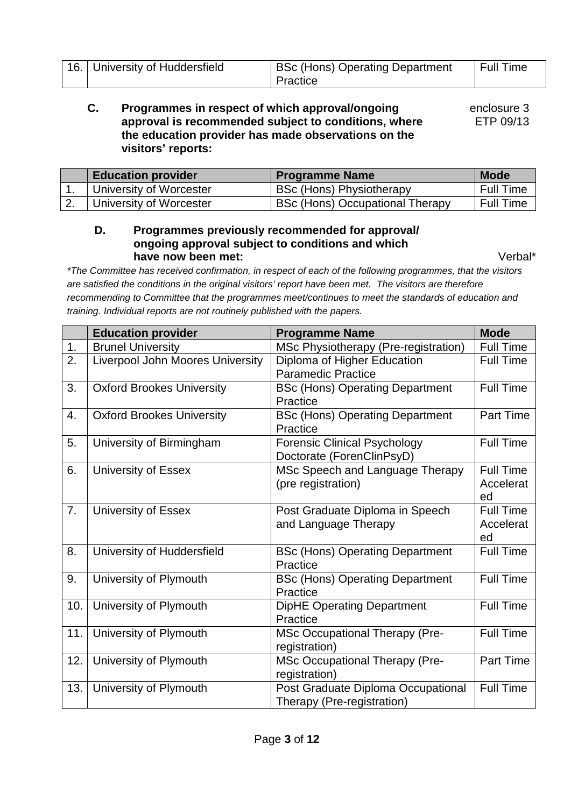| 16.   University of Huddersfield | <b>BSc (Hons) Operating Department</b> | <b>Full Time</b> |
|----------------------------------|----------------------------------------|------------------|
|                                  | Practice                               |                  |

### **C. Programmes in respect of which approval/ongoing approval is recommended subject to conditions, where the education provider has made observations on the visitors' reports:**

enclosure 3 ETP 09/13

| <b>Education provider</b> | <b>Programme Name</b>                  | <b>Mode</b> |
|---------------------------|----------------------------------------|-------------|
| University of Worcester   | BSc (Hons) Physiotherapy               | l Full Time |
| University of Worcester   | <b>BSc (Hons) Occupational Therapy</b> | l Full Time |

### **D. Programmes previously recommended for approval/ ongoing approval subject to conditions and which have now been met:** Verbal<sup>\*</sup>

*\*The Committee has received confirmation, in respect of each of the following programmes, that the visitors are satisfied the conditions in the original visitors' report have been met. The visitors are therefore recommending to Committee that the programmes meet/continues to meet the standards of education and training. Individual reports are not routinely published with the papers.* 

|     | <b>Education provider</b>               | <b>Programme Name</b>                                            | <b>Mode</b>                         |
|-----|-----------------------------------------|------------------------------------------------------------------|-------------------------------------|
| 1.  | <b>Brunel University</b>                | MSc Physiotherapy (Pre-registration)                             | <b>Full Time</b>                    |
| 2.  | <b>Liverpool John Moores University</b> | Diploma of Higher Education                                      | <b>Full Time</b>                    |
|     |                                         | <b>Paramedic Practice</b>                                        |                                     |
| 3.  | <b>Oxford Brookes University</b>        | <b>BSc (Hons) Operating Department</b><br>Practice               | <b>Full Time</b>                    |
| 4.  | <b>Oxford Brookes University</b>        | <b>BSc (Hons) Operating Department</b><br>Practice               | <b>Part Time</b>                    |
| 5.  | University of Birmingham                | <b>Forensic Clinical Psychology</b><br>Doctorate (ForenClinPsyD) | <b>Full Time</b>                    |
| 6.  | <b>University of Essex</b>              | MSc Speech and Language Therapy<br>(pre registration)            | <b>Full Time</b><br>Accelerat<br>ed |
| 7.  | <b>University of Essex</b>              | Post Graduate Diploma in Speech<br>and Language Therapy          | <b>Full Time</b><br>Accelerat<br>ed |
| 8.  | University of Huddersfield              | <b>BSc (Hons) Operating Department</b><br>Practice               | <b>Full Time</b>                    |
| 9.  | University of Plymouth                  | <b>BSc (Hons) Operating Department</b><br>Practice               | <b>Full Time</b>                    |
| 10. | University of Plymouth                  | <b>DipHE Operating Department</b><br>Practice                    | <b>Full Time</b>                    |
| 11. | University of Plymouth                  | <b>MSc Occupational Therapy (Pre-</b><br>registration)           | <b>Full Time</b>                    |
| 12. | University of Plymouth                  | <b>MSc Occupational Therapy (Pre-</b><br>registration)           | Part Time                           |
| 13. | University of Plymouth                  | Post Graduate Diploma Occupational<br>Therapy (Pre-registration) | <b>Full Time</b>                    |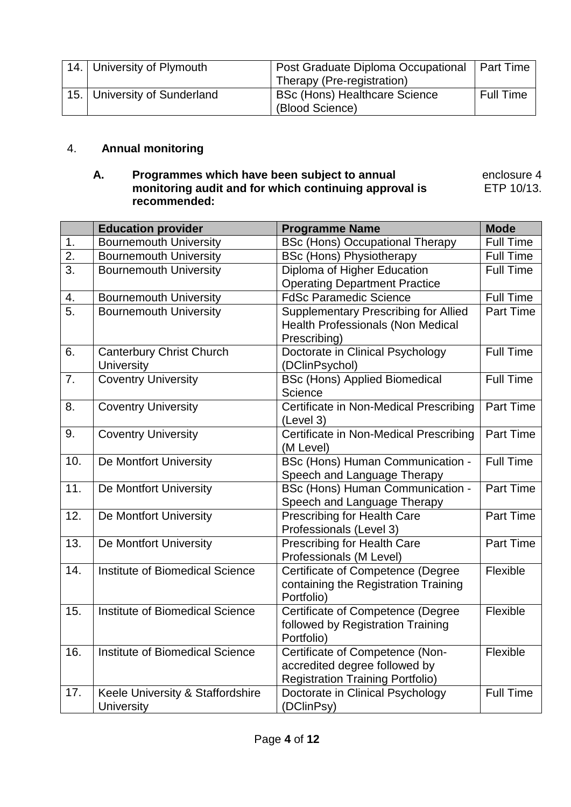| 14. | University of Plymouth         | Post Graduate Diploma Occupational<br>Therapy (Pre-registration) | Part Time              |
|-----|--------------------------------|------------------------------------------------------------------|------------------------|
|     | 15.   University of Sunderland | BSc (Hons) Healthcare Science<br>(Blood Science)                 | <sup>'</sup> Full Time |

## 4. **Annual monitoring**

#### **A. Programmes which have been subject to annual monitoring audit and for which continuing approval is recommended:** enclosure 4 ETP 10/13.

|                  | <b>Education provider</b>                             | <b>Programme Name</b>                                                                                       | <b>Mode</b>      |
|------------------|-------------------------------------------------------|-------------------------------------------------------------------------------------------------------------|------------------|
| 1.               | <b>Bournemouth University</b>                         | <b>BSc (Hons) Occupational Therapy</b>                                                                      | Full Time        |
| $\overline{2}$ . | <b>Bournemouth University</b>                         | <b>BSc (Hons) Physiotherapy</b>                                                                             | <b>Full Time</b> |
| $\overline{3}$ . | <b>Bournemouth University</b>                         | Diploma of Higher Education                                                                                 | <b>Full Time</b> |
|                  |                                                       | <b>Operating Department Practice</b>                                                                        |                  |
| 4.               | <b>Bournemouth University</b>                         | <b>FdSc Paramedic Science</b>                                                                               | <b>Full Time</b> |
| $\overline{5}$ . | <b>Bournemouth University</b>                         | <b>Supplementary Prescribing for Allied</b><br><b>Health Professionals (Non Medical</b><br>Prescribing)     | Part Time        |
| 6.               | <b>Canterbury Christ Church</b><br><b>University</b>  | Doctorate in Clinical Psychology<br>(DClinPsychol)                                                          | <b>Full Time</b> |
| $\overline{7}$ . | <b>Coventry University</b>                            | <b>BSc (Hons) Applied Biomedical</b><br>Science                                                             | <b>Full Time</b> |
| 8.               | <b>Coventry University</b>                            | Certificate in Non-Medical Prescribing<br>(Level 3)                                                         | Part Time        |
| 9.               | <b>Coventry University</b>                            | Certificate in Non-Medical Prescribing<br>(M Level)                                                         | Part Time        |
| 10.              | De Montfort University                                | BSc (Hons) Human Communication -<br>Speech and Language Therapy                                             | <b>Full Time</b> |
| 11.              | De Montfort University                                | BSc (Hons) Human Communication -<br>Speech and Language Therapy                                             | Part Time        |
| 12.              | De Montfort University                                | <b>Prescribing for Health Care</b><br>Professionals (Level 3)                                               | <b>Part Time</b> |
| 13.              | De Montfort University                                | <b>Prescribing for Health Care</b><br>Professionals (M Level)                                               | Part Time        |
| 14.              | <b>Institute of Biomedical Science</b>                | Certificate of Competence (Degree<br>containing the Registration Training<br>Portfolio)                     | Flexible         |
| 15.              | Institute of Biomedical Science                       | Certificate of Competence (Degree<br>followed by Registration Training<br>Portfolio)                        | Flexible         |
| 16.              | Institute of Biomedical Science                       | Certificate of Competence (Non-<br>accredited degree followed by<br><b>Registration Training Portfolio)</b> | Flexible         |
| 17.              | Keele University & Staffordshire<br><b>University</b> | Doctorate in Clinical Psychology<br>(DClinPsy)                                                              | <b>Full Time</b> |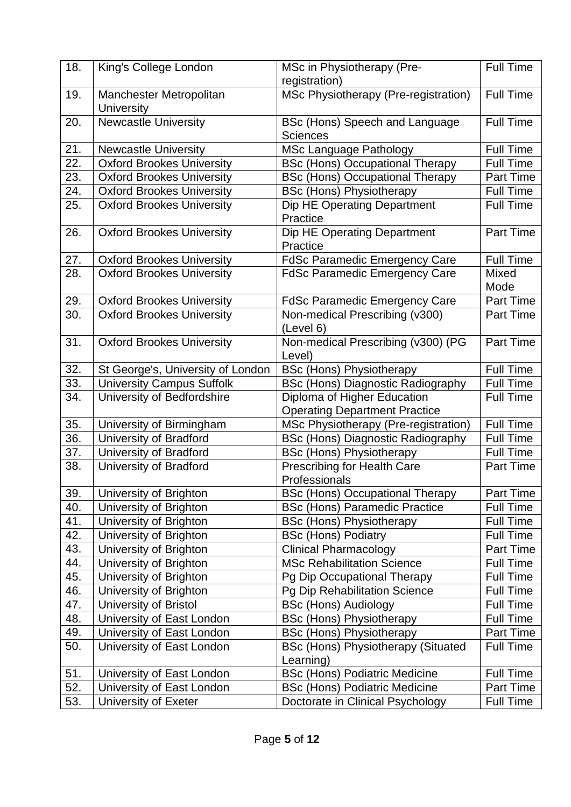| 18. | King's College London                 | MSc in Physiotherapy (Pre-<br>registration)            | <b>Full Time</b>     |
|-----|---------------------------------------|--------------------------------------------------------|----------------------|
| 19. | Manchester Metropolitan<br>University | MSc Physiotherapy (Pre-registration)                   | <b>Full Time</b>     |
| 20. | <b>Newcastle University</b>           | BSc (Hons) Speech and Language<br><b>Sciences</b>      | <b>Full Time</b>     |
| 21. | <b>Newcastle University</b>           | <b>MSc Language Pathology</b>                          | <b>Full Time</b>     |
| 22. | <b>Oxford Brookes University</b>      | <b>BSc (Hons) Occupational Therapy</b>                 | <b>Full Time</b>     |
| 23. | <b>Oxford Brookes University</b>      | <b>BSc (Hons) Occupational Therapy</b>                 | <b>Part Time</b>     |
| 24. | <b>Oxford Brookes University</b>      | <b>BSc (Hons) Physiotherapy</b>                        | <b>Full Time</b>     |
| 25. | <b>Oxford Brookes University</b>      | Dip HE Operating Department<br>Practice                | <b>Full Time</b>     |
| 26. | <b>Oxford Brookes University</b>      | Dip HE Operating Department<br>Practice                | <b>Part Time</b>     |
| 27. | <b>Oxford Brookes University</b>      | <b>FdSc Paramedic Emergency Care</b>                   | <b>Full Time</b>     |
| 28. | <b>Oxford Brookes University</b>      | <b>FdSc Paramedic Emergency Care</b>                   | <b>Mixed</b><br>Mode |
| 29. | <b>Oxford Brookes University</b>      | <b>FdSc Paramedic Emergency Care</b>                   | <b>Part Time</b>     |
| 30. | <b>Oxford Brookes University</b>      | Non-medical Prescribing (v300)<br>(Level 6)            | <b>Part Time</b>     |
| 31. | <b>Oxford Brookes University</b>      | Non-medical Prescribing (v300) (PG<br>Level)           | Part Time            |
| 32. | St George's, University of London     | <b>BSc (Hons) Physiotherapy</b>                        | Full Time            |
| 33. | <b>University Campus Suffolk</b>      | <b>BSc (Hons) Diagnostic Radiography</b>               | <b>Full Time</b>     |
| 34. | University of Bedfordshire            | Diploma of Higher Education                            | <b>Full Time</b>     |
|     |                                       | <b>Operating Department Practice</b>                   |                      |
| 35. | University of Birmingham              | <b>MSc Physiotherapy (Pre-registration)</b>            | <b>Full Time</b>     |
| 36. | University of Bradford                | <b>BSc (Hons) Diagnostic Radiography</b>               | <b>Full Time</b>     |
| 37. | University of Bradford                | <b>BSc (Hons) Physiotherapy</b>                        | <b>Full Time</b>     |
| 38. | University of Bradford                | <b>Prescribing for Health Care</b><br>Professionals    | <b>Part Time</b>     |
| 39. | University of Brighton                | <b>BSc (Hons) Occupational Therapy</b>                 | Part Time            |
| 40. | University of Brighton                | <b>BSc (Hons) Paramedic Practice</b>                   | <b>Full Time</b>     |
| 41. | University of Brighton                | <b>BSc (Hons) Physiotherapy</b>                        | Full Time            |
| 42. | University of Brighton                | <b>BSc (Hons) Podiatry</b>                             | <b>Full Time</b>     |
| 43. | University of Brighton                | <b>Clinical Pharmacology</b>                           | Part Time            |
| 44. | University of Brighton                | <b>MSc Rehabilitation Science</b>                      | <b>Full Time</b>     |
| 45. | University of Brighton                | Pg Dip Occupational Therapy                            | <b>Full Time</b>     |
| 46. | University of Brighton                | Pg Dip Rehabilitation Science                          | <b>Full Time</b>     |
| 47. | University of Bristol                 | <b>BSc (Hons) Audiology</b>                            | Full Time            |
| 48. | University of East London             | <b>BSc (Hons) Physiotherapy</b>                        | Full Time            |
| 49. | University of East London             | <b>BSc (Hons) Physiotherapy</b>                        | Part Time            |
| 50. | University of East London             | <b>BSc (Hons) Physiotherapy (Situated</b><br>Learning) | <b>Full Time</b>     |
| 51. | University of East London             | <b>BSc (Hons) Podiatric Medicine</b>                   | Full Time            |
| 52. | University of East London             | <b>BSc (Hons) Podiatric Medicine</b>                   | Part Time            |
| 53. | University of Exeter                  | Doctorate in Clinical Psychology                       | Full Time            |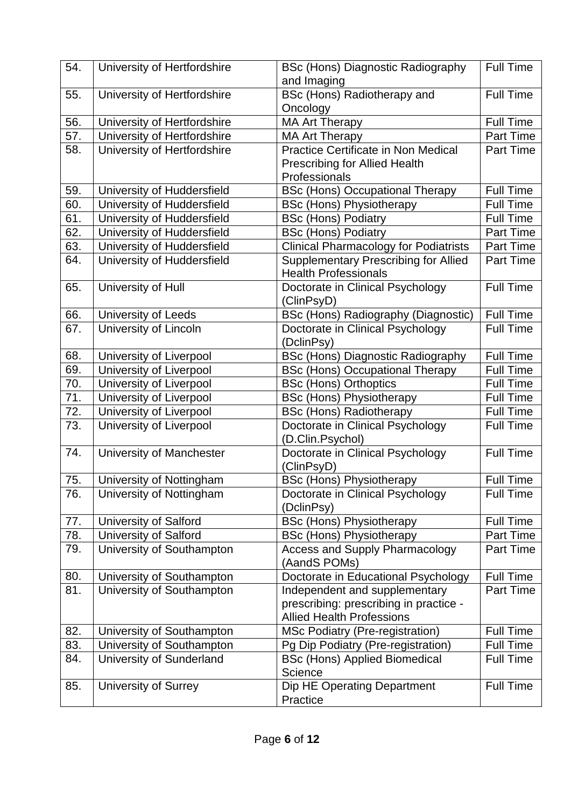| 54. | University of Hertfordshire  | <b>BSc (Hons) Diagnostic Radiography</b><br>and Imaging                                                     | <b>Full Time</b> |
|-----|------------------------------|-------------------------------------------------------------------------------------------------------------|------------------|
| 55. | University of Hertfordshire  | BSc (Hons) Radiotherapy and<br>Oncology                                                                     | <b>Full Time</b> |
| 56. | University of Hertfordshire  | <b>MA Art Therapy</b>                                                                                       | <b>Full Time</b> |
| 57. | University of Hertfordshire  | <b>MA Art Therapy</b>                                                                                       | Part Time        |
| 58. | University of Hertfordshire  | Practice Certificate in Non Medical<br>Prescribing for Allied Health<br>Professionals                       | Part Time        |
| 59. | University of Huddersfield   | <b>BSc (Hons) Occupational Therapy</b>                                                                      | <b>Full Time</b> |
| 60. | University of Huddersfield   | <b>BSc (Hons) Physiotherapy</b>                                                                             | <b>Full Time</b> |
| 61. | University of Huddersfield   | <b>BSc (Hons) Podiatry</b>                                                                                  | <b>Full Time</b> |
| 62. | University of Huddersfield   | <b>BSc (Hons) Podiatry</b>                                                                                  | Part Time        |
| 63. | University of Huddersfield   | <b>Clinical Pharmacology for Podiatrists</b>                                                                | Part Time        |
| 64. | University of Huddersfield   | <b>Supplementary Prescribing for Allied</b><br><b>Health Professionals</b>                                  | <b>Part Time</b> |
| 65. | University of Hull           | Doctorate in Clinical Psychology<br>(ClinPsyD)                                                              | <b>Full Time</b> |
| 66. | University of Leeds          | BSc (Hons) Radiography (Diagnostic)                                                                         | Full Time        |
| 67. | University of Lincoln        | Doctorate in Clinical Psychology<br>(DclinPsy)                                                              | <b>Full Time</b> |
| 68. | University of Liverpool      | <b>BSc (Hons) Diagnostic Radiography</b>                                                                    | <b>Full Time</b> |
| 69. | University of Liverpool      | <b>BSc (Hons) Occupational Therapy</b>                                                                      | <b>Full Time</b> |
| 70. | University of Liverpool      | <b>BSc (Hons) Orthoptics</b>                                                                                | <b>Full Time</b> |
| 71. | University of Liverpool      | <b>BSc (Hons) Physiotherapy</b>                                                                             | <b>Full Time</b> |
| 72. | University of Liverpool      | <b>BSc (Hons) Radiotherapy</b>                                                                              | <b>Full Time</b> |
| 73. | University of Liverpool      | Doctorate in Clinical Psychology<br>(D.Clin.Psychol)                                                        | <b>Full Time</b> |
| 74. | University of Manchester     | Doctorate in Clinical Psychology<br>(ClinPsyD)                                                              | Full Time        |
| 75. | University of Nottingham     | <b>BSc (Hons) Physiotherapy</b>                                                                             | <b>Full Time</b> |
| 76. | University of Nottingham     | Doctorate in Clinical Psychology<br>(DclinPsy)                                                              | <b>Full Time</b> |
| 77. | University of Salford        | <b>BSc (Hons) Physiotherapy</b>                                                                             | Full Time        |
| 78. | <b>University of Salford</b> | <b>BSc (Hons) Physiotherapy</b>                                                                             | Part Time        |
| 79. | University of Southampton    | <b>Access and Supply Pharmacology</b><br>(AandS POMs)                                                       | Part Time        |
| 80. | University of Southampton    | Doctorate in Educational Psychology                                                                         | <b>Full Time</b> |
| 81. | University of Southampton    | Independent and supplementary<br>prescribing: prescribing in practice -<br><b>Allied Health Professions</b> | Part Time        |
| 82. | University of Southampton    | <b>MSc Podiatry (Pre-registration)</b>                                                                      | Full Time        |
| 83. | University of Southampton    | Pg Dip Podiatry (Pre-registration)                                                                          | Full Time        |
| 84. | University of Sunderland     | <b>BSc (Hons) Applied Biomedical</b><br>Science                                                             | <b>Full Time</b> |
| 85. | <b>University of Surrey</b>  | Dip HE Operating Department<br>Practice                                                                     | <b>Full Time</b> |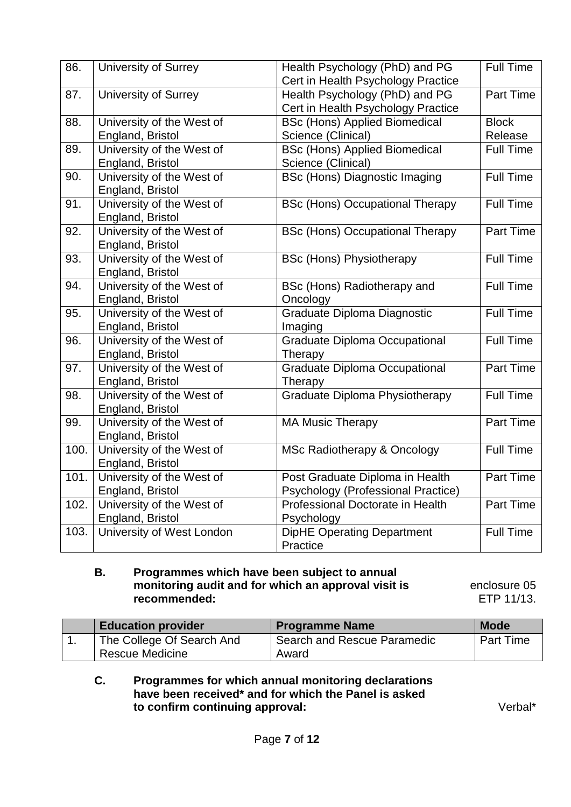| 86.  | <b>University of Surrey</b>                   | Health Psychology (PhD) and PG<br>Cert in Health Psychology Practice         | <b>Full Time</b>        |
|------|-----------------------------------------------|------------------------------------------------------------------------------|-------------------------|
| 87.  | <b>University of Surrey</b>                   | Health Psychology (PhD) and PG<br>Cert in Health Psychology Practice         | Part Time               |
| 88.  | University of the West of<br>England, Bristol | <b>BSc (Hons) Applied Biomedical</b><br>Science (Clinical)                   | <b>Block</b><br>Release |
| 89.  | University of the West of<br>England, Bristol | <b>BSc (Hons) Applied Biomedical</b><br>Science (Clinical)                   | Full Time               |
| 90.  | University of the West of<br>England, Bristol | BSc (Hons) Diagnostic Imaging                                                | <b>Full Time</b>        |
| 91.  | University of the West of<br>England, Bristol | <b>BSc (Hons) Occupational Therapy</b>                                       | <b>Full Time</b>        |
| 92.  | University of the West of<br>England, Bristol | <b>BSc (Hons) Occupational Therapy</b>                                       | Part Time               |
| 93.  | University of the West of<br>England, Bristol | <b>BSc (Hons) Physiotherapy</b>                                              | Full Time               |
| 94.  | University of the West of<br>England, Bristol | BSc (Hons) Radiotherapy and<br>Oncology                                      | <b>Full Time</b>        |
| 95.  | University of the West of<br>England, Bristol | Graduate Diploma Diagnostic<br>Imaging                                       | <b>Full Time</b>        |
| 96.  | University of the West of<br>England, Bristol | <b>Graduate Diploma Occupational</b><br>Therapy                              | <b>Full Time</b>        |
| 97.  | University of the West of<br>England, Bristol | <b>Graduate Diploma Occupational</b><br>Therapy                              | Part Time               |
| 98.  | University of the West of<br>England, Bristol | <b>Graduate Diploma Physiotherapy</b>                                        | <b>Full Time</b>        |
| 99.  | University of the West of<br>England, Bristol | <b>MA Music Therapy</b>                                                      | Part Time               |
| 100. | University of the West of<br>England, Bristol | MSc Radiotherapy & Oncology                                                  | <b>Full Time</b>        |
| 101. | University of the West of<br>England, Bristol | Post Graduate Diploma in Health<br><b>Psychology (Professional Practice)</b> | Part Time               |
| 102. | University of the West of<br>England, Bristol | Professional Doctorate in Health<br>Psychology                               | Part Time               |
| 103. | University of West London                     | <b>DipHE Operating Department</b><br>Practice                                | Full Time               |

### **B. Programmes which have been subject to annual monitoring audit and for which an approval visit is recommended:**

enclosure 05 ETP 11/13.

| <b>Education provider</b> | <b>Programme Name</b>       | <b>Mode</b>      |
|---------------------------|-----------------------------|------------------|
| The College Of Search And | Search and Rescue Paramedic | <b>Part Time</b> |
| <b>Rescue Medicine</b>    | Award                       |                  |

### **C. Programmes for which annual monitoring declarations have been received\* and for which the Panel is asked to confirm continuing approval:** Verbal\*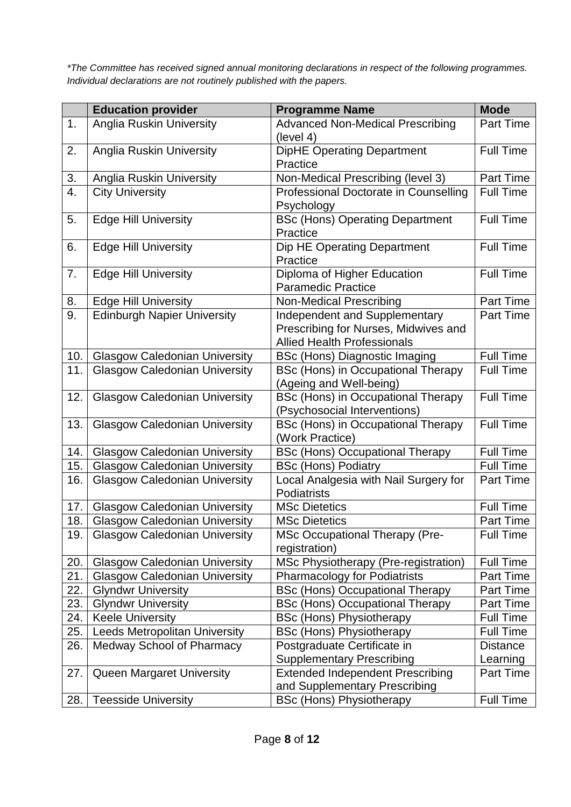*\*The Committee has received signed annual monitoring declarations in respect of the following programmes. Individual declarations are not routinely published with the papers.* 

|                  | <b>Education provider</b>            | <b>Programme Name</b>                                                      | <b>Mode</b>                   |
|------------------|--------------------------------------|----------------------------------------------------------------------------|-------------------------------|
| 1.               | <b>Anglia Ruskin University</b>      | <b>Advanced Non-Medical Prescribing</b>                                    | Part Time                     |
|                  |                                      | (level 4)                                                                  |                               |
| 2.               | Anglia Ruskin University             | <b>DipHE Operating Department</b>                                          | <b>Full Time</b>              |
|                  |                                      | Practice                                                                   |                               |
| 3.               | <b>Anglia Ruskin University</b>      | Non-Medical Prescribing (level 3)                                          | Part Time                     |
| $\overline{4}$ . | <b>City University</b>               | Professional Doctorate in Counselling                                      | <b>Full Time</b>              |
|                  |                                      | Psychology                                                                 |                               |
| 5.               | <b>Edge Hill University</b>          | <b>BSc (Hons) Operating Department</b>                                     | <b>Full Time</b>              |
|                  |                                      | Practice                                                                   |                               |
| 6.               | <b>Edge Hill University</b>          | Dip HE Operating Department                                                | <b>Full Time</b>              |
|                  |                                      | Practice                                                                   |                               |
| 7.               | <b>Edge Hill University</b>          | Diploma of Higher Education                                                | <b>Full Time</b>              |
|                  |                                      | <b>Paramedic Practice</b>                                                  |                               |
| 8.<br>9.         | <b>Edge Hill University</b>          | <b>Non-Medical Prescribing</b>                                             | Part Time<br><b>Part Time</b> |
|                  | <b>Edinburgh Napier University</b>   | Independent and Supplementary                                              |                               |
|                  |                                      | Prescribing for Nurses, Midwives and<br><b>Allied Health Professionals</b> |                               |
| 10.              | <b>Glasgow Caledonian University</b> | <b>BSc (Hons) Diagnostic Imaging</b>                                       | Full Time                     |
| 11.              | <b>Glasgow Caledonian University</b> | <b>BSc (Hons) in Occupational Therapy</b>                                  | <b>Full Time</b>              |
|                  |                                      | (Ageing and Well-being)                                                    |                               |
| 12.              | <b>Glasgow Caledonian University</b> | <b>BSc (Hons) in Occupational Therapy</b>                                  | <b>Full Time</b>              |
|                  |                                      | (Psychosocial Interventions)                                               |                               |
| 13.              | <b>Glasgow Caledonian University</b> | <b>BSc (Hons) in Occupational Therapy</b>                                  | <b>Full Time</b>              |
|                  |                                      | (Work Practice)                                                            |                               |
| 14.              | <b>Glasgow Caledonian University</b> | <b>BSc (Hons) Occupational Therapy</b>                                     | Full Time                     |
| 15.              | <b>Glasgow Caledonian University</b> | <b>BSc (Hons) Podiatry</b>                                                 | <b>Full Time</b>              |
| 16.              | <b>Glasgow Caledonian University</b> | Local Analgesia with Nail Surgery for                                      | <b>Part Time</b>              |
|                  |                                      | Podiatrists                                                                |                               |
| 17.              | <b>Glasgow Caledonian University</b> | <b>MSc Dietetics</b>                                                       | <b>Full Time</b>              |
| 18.              | <b>Glasgow Caledonian University</b> | <b>MSc Dietetics</b>                                                       | <b>Part Time</b>              |
| 19.              | <b>Glasgow Caledonian University</b> | <b>MSc Occupational Therapy (Pre-</b>                                      | <b>Full Time</b>              |
|                  |                                      | registration)                                                              |                               |
| 20.              | <b>Glasgow Caledonian University</b> | MSc Physiotherapy (Pre-registration)                                       | <b>Full Time</b>              |
| 21.              | <b>Glasgow Caledonian University</b> | <b>Pharmacology for Podiatrists</b>                                        | Part Time                     |
| 22.              | <b>Glyndwr University</b>            | <b>BSc (Hons) Occupational Therapy</b>                                     | Part Time                     |
| 23.              | <b>Glyndwr University</b>            | <b>BSc (Hons) Occupational Therapy</b>                                     | Part Time                     |
| 24.              | <b>Keele University</b>              | <b>BSc (Hons) Physiotherapy</b>                                            | <b>Full Time</b>              |
| 25.              | <b>Leeds Metropolitan University</b> | <b>BSc (Hons) Physiotherapy</b>                                            | <b>Full Time</b>              |
| 26.              | Medway School of Pharmacy            | Postgraduate Certificate in                                                | <b>Distance</b>               |
|                  |                                      | <b>Supplementary Prescribing</b>                                           | Learning                      |
| 27.              | <b>Queen Margaret University</b>     | <b>Extended Independent Prescribing</b>                                    | <b>Part Time</b>              |
|                  |                                      | and Supplementary Prescribing                                              |                               |
| 28.              | <b>Teesside University</b>           | <b>BSc (Hons) Physiotherapy</b>                                            | <b>Full Time</b>              |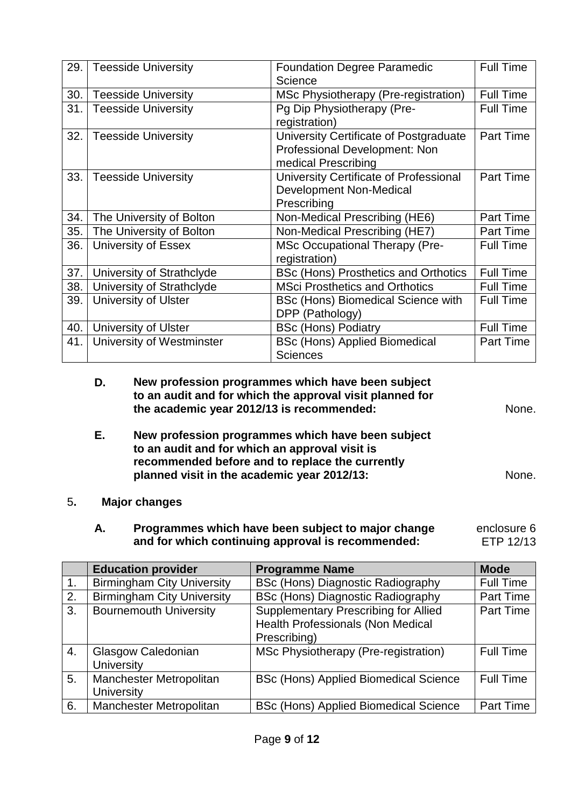| 29. | <b>Teesside University</b> | <b>Foundation Degree Paramedic</b>          | <b>Full Time</b> |
|-----|----------------------------|---------------------------------------------|------------------|
|     |                            | Science                                     |                  |
| 30. | <b>Teesside University</b> | MSc Physiotherapy (Pre-registration)        | <b>Full Time</b> |
| 31. | <b>Teesside University</b> | Pg Dip Physiotherapy (Pre-                  | <b>Full Time</b> |
|     |                            | registration)                               |                  |
| 32. | <b>Teesside University</b> | University Certificate of Postgraduate      | <b>Part Time</b> |
|     |                            | Professional Development: Non               |                  |
|     |                            | medical Prescribing                         |                  |
| 33. | <b>Teesside University</b> | University Certificate of Professional      | <b>Part Time</b> |
|     |                            | <b>Development Non-Medical</b>              |                  |
|     |                            | Prescribing                                 |                  |
| 34. | The University of Bolton   | Non-Medical Prescribing (HE6)               | Part Time        |
| 35. | The University of Bolton   | Non-Medical Prescribing (HE7)               | <b>Part Time</b> |
| 36. | University of Essex        | <b>MSc Occupational Therapy (Pre-</b>       | <b>Full Time</b> |
|     |                            | registration)                               |                  |
| 37. | University of Strathclyde  | <b>BSc (Hons) Prosthetics and Orthotics</b> | <b>Full Time</b> |
| 38. | University of Strathclyde  | <b>MSci Prosthetics and Orthotics</b>       | <b>Full Time</b> |
| 39. | University of Ulster       | BSc (Hons) Biomedical Science with          | <b>Full Time</b> |
|     |                            | DPP (Pathology)                             |                  |
| 40. | University of Ulster       | <b>BSc (Hons) Podiatry</b>                  | <b>Full Time</b> |
| 41. | University of Westminster  | <b>BSc (Hons) Applied Biomedical</b>        | <b>Part Time</b> |
|     |                            | <b>Sciences</b>                             |                  |

- **D. New profession programmes which have been subject to an audit and for which the approval visit planned for the academic year 2012/13 is recommended:** None.
- **E. New profession programmes which have been subject to an audit and for which an approval visit is recommended before and to replace the currently planned visit in the academic year 2012/13:** None.
- 5**. Major changes**
	- **A. Programmes which have been subject to major change and for which continuing approval is recommended:** enclosure 6 ETP 12/13

|                | <b>Education provider</b>                    | <b>Programme Name</b>                                                                                   | <b>Mode</b>      |
|----------------|----------------------------------------------|---------------------------------------------------------------------------------------------------------|------------------|
| 1 <sub>1</sub> | <b>Birmingham City University</b>            | BSc (Hons) Diagnostic Radiography                                                                       | <b>Full Time</b> |
| 2.             | <b>Birmingham City University</b>            | <b>BSc (Hons) Diagnostic Radiography</b>                                                                | Part Time        |
| 3.             | <b>Bournemouth University</b>                | <b>Supplementary Prescribing for Allied</b><br><b>Health Professionals (Non Medical</b><br>Prescribing) | <b>Part Time</b> |
| 4.             | Glasgow Caledonian<br><b>University</b>      | MSc Physiotherapy (Pre-registration)                                                                    | <b>Full Time</b> |
| 5.             | Manchester Metropolitan<br><b>University</b> | <b>BSc (Hons) Applied Biomedical Science</b>                                                            | <b>Full Time</b> |
| 6.             | Manchester Metropolitan                      | <b>BSc (Hons) Applied Biomedical Science</b>                                                            | <b>Part Time</b> |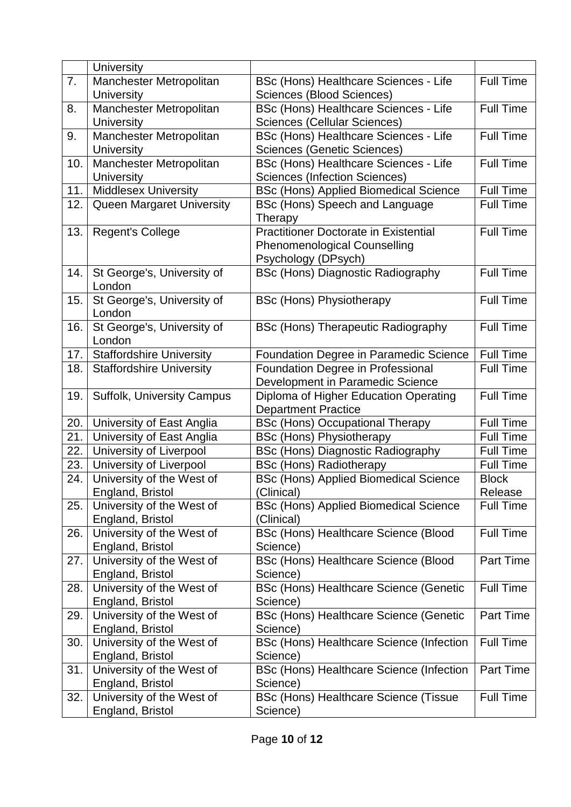|     | University                        |                                               |                  |
|-----|-----------------------------------|-----------------------------------------------|------------------|
| 7.  | Manchester Metropolitan           | BSc (Hons) Healthcare Sciences - Life         | <b>Full Time</b> |
|     | University                        | Sciences (Blood Sciences)                     |                  |
| 8.  | Manchester Metropolitan           | BSc (Hons) Healthcare Sciences - Life         | <b>Full Time</b> |
|     | University                        | Sciences (Cellular Sciences)                  |                  |
| 9.  | Manchester Metropolitan           | BSc (Hons) Healthcare Sciences - Life         | <b>Full Time</b> |
|     | <b>University</b>                 | Sciences (Genetic Sciences)                   |                  |
| 10. | Manchester Metropolitan           | BSc (Hons) Healthcare Sciences - Life         | <b>Full Time</b> |
|     | <b>University</b>                 | <b>Sciences (Infection Sciences)</b>          |                  |
| 11. | <b>Middlesex University</b>       | <b>BSc (Hons) Applied Biomedical Science</b>  | <b>Full Time</b> |
| 12. | Queen Margaret University         | BSc (Hons) Speech and Language                | <b>Full Time</b> |
|     |                                   | Therapy                                       |                  |
| 13. | <b>Regent's College</b>           | <b>Practitioner Doctorate in Existential</b>  | <b>Full Time</b> |
|     |                                   | <b>Phenomenological Counselling</b>           |                  |
|     |                                   | Psychology (DPsych)                           |                  |
| 14. | St George's, University of        | <b>BSc (Hons) Diagnostic Radiography</b>      | <b>Full Time</b> |
|     | London                            |                                               |                  |
| 15. | St George's, University of        | <b>BSc (Hons) Physiotherapy</b>               | <b>Full Time</b> |
|     | London                            |                                               |                  |
| 16. | St George's, University of        | <b>BSc (Hons) Therapeutic Radiography</b>     | <b>Full Time</b> |
|     | London                            |                                               |                  |
| 17. | <b>Staffordshire University</b>   | <b>Foundation Degree in Paramedic Science</b> | <b>Full Time</b> |
| 18. | <b>Staffordshire University</b>   | Foundation Degree in Professional             | <b>Full Time</b> |
|     |                                   | Development in Paramedic Science              |                  |
| 19. | <b>Suffolk, University Campus</b> | Diploma of Higher Education Operating         | <b>Full Time</b> |
|     |                                   | <b>Department Practice</b>                    |                  |
| 20. | University of East Anglia         | <b>BSc (Hons) Occupational Therapy</b>        | <b>Full Time</b> |
| 21. | University of East Anglia         | <b>BSc (Hons) Physiotherapy</b>               | <b>Full Time</b> |
| 22. | University of Liverpool           | BSc (Hons) Diagnostic Radiography             | <b>Full Time</b> |
| 23. | University of Liverpool           | <b>BSc (Hons) Radiotherapy</b>                | <b>Full Time</b> |
| 24. | University of the West of         | <b>BSc (Hons) Applied Biomedical Science</b>  | <b>Block</b>     |
|     | England, Bristol                  | Clinical)                                     | Release          |
| 25. | University of the West of         | <b>BSc (Hons) Applied Biomedical Science</b>  | <b>Full Time</b> |
|     | England, Bristol                  | (Clinical)                                    |                  |
| 26. | University of the West of         | BSc (Hons) Healthcare Science (Blood          | <b>Full Time</b> |
|     | England, Bristol                  | Science)                                      |                  |
| 27. | University of the West of         | BSc (Hons) Healthcare Science (Blood          | Part Time        |
|     | England, Bristol                  | Science)                                      |                  |
| 28. | University of the West of         | <b>BSc (Hons) Healthcare Science (Genetic</b> | <b>Full Time</b> |
|     | England, Bristol                  | Science)                                      |                  |
| 29. | University of the West of         | <b>BSc (Hons) Healthcare Science (Genetic</b> | <b>Part Time</b> |
|     | England, Bristol                  | Science)                                      |                  |
| 30. | University of the West of         | BSc (Hons) Healthcare Science (Infection      | <b>Full Time</b> |
|     | England, Bristol                  | Science)                                      |                  |
| 31. | University of the West of         | BSc (Hons) Healthcare Science (Infection      | Part Time        |
|     | England, Bristol                  | Science)                                      |                  |
|     |                                   |                                               |                  |
| 32. | University of the West of         | BSc (Hons) Healthcare Science (Tissue         | <b>Full Time</b> |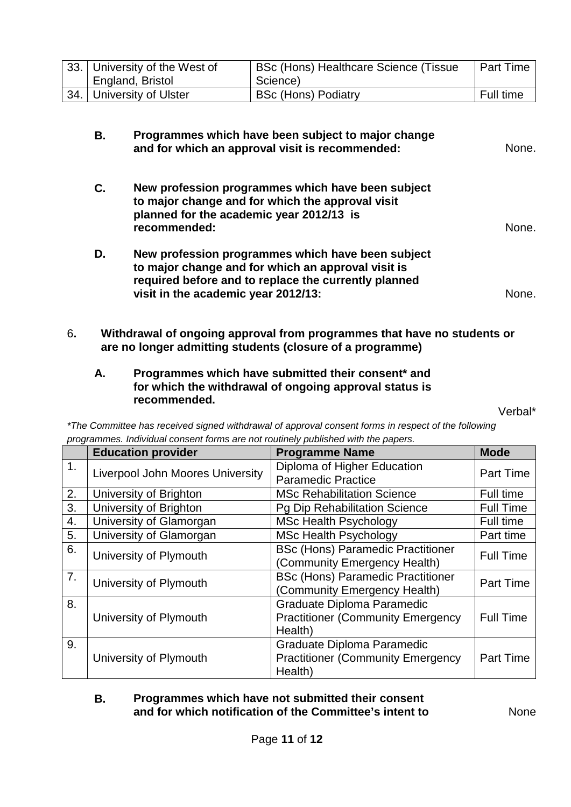| 33. University of the West of<br>England, Bristol | BSc (Hons) Healthcare Science (Tissue<br>Science) | <b>Part Time</b> |
|---------------------------------------------------|---------------------------------------------------|------------------|
| 34.   University of Ulster                        | <b>BSc (Hons) Podiatry</b>                        | <b>Full time</b> |

| В. | Programmes which have been subject to major change<br>and for which an approval visit is recommended:                                                                                                  | None. |
|----|--------------------------------------------------------------------------------------------------------------------------------------------------------------------------------------------------------|-------|
| С. | New profession programmes which have been subject<br>to major change and for which the approval visit<br>planned for the academic year 2012/13 is<br>recommended:                                      | None. |
| D. | New profession programmes which have been subject<br>to major change and for which an approval visit is<br>required before and to replace the currently planned<br>visit in the academic year 2012/13: | None. |

6**. Withdrawal of ongoing approval from programmes that have no students or are no longer admitting students (closure of a programme)**

### **A. Programmes which have submitted their consent\* and for which the withdrawal of ongoing approval status is recommended.**

Verbal\*

*\*The Committee has received signed withdrawal of approval consent forms in respect of the following programmes. Individual consent forms are not routinely published with the papers.* 

|                | <b>Education provider</b>        | <b>Programme Name</b>                                                              | <b>Mode</b>      |
|----------------|----------------------------------|------------------------------------------------------------------------------------|------------------|
| 1 <sub>1</sub> | Liverpool John Moores University | Diploma of Higher Education<br><b>Paramedic Practice</b>                           | <b>Part Time</b> |
| 2.             | University of Brighton           | <b>MSc Rehabilitation Science</b>                                                  | Full time        |
| 3.             | University of Brighton           | Pg Dip Rehabilitation Science                                                      | <b>Full Time</b> |
| 4.             | University of Glamorgan          | <b>MSc Health Psychology</b>                                                       | Full time        |
| 5.             | University of Glamorgan          | <b>MSc Health Psychology</b>                                                       | Part time        |
| 6.             | University of Plymouth           | <b>BSc (Hons) Paramedic Practitioner</b><br>(Community Emergency Health)           | <b>Full Time</b> |
| 7.             | University of Plymouth           | <b>BSc (Hons) Paramedic Practitioner</b><br>(Community Emergency Health)           | <b>Part Time</b> |
| 8.             | University of Plymouth           | Graduate Diploma Paramedic<br><b>Practitioner (Community Emergency</b><br>Health)  | <b>Full Time</b> |
| 9.             | University of Plymouth           | Graduate Diploma Paramedic<br><b>Practitioner (Community Emergency)</b><br>Health) | <b>Part Time</b> |

### **B. Programmes which have not submitted their consent and for which notification of the Committee's intent to** None